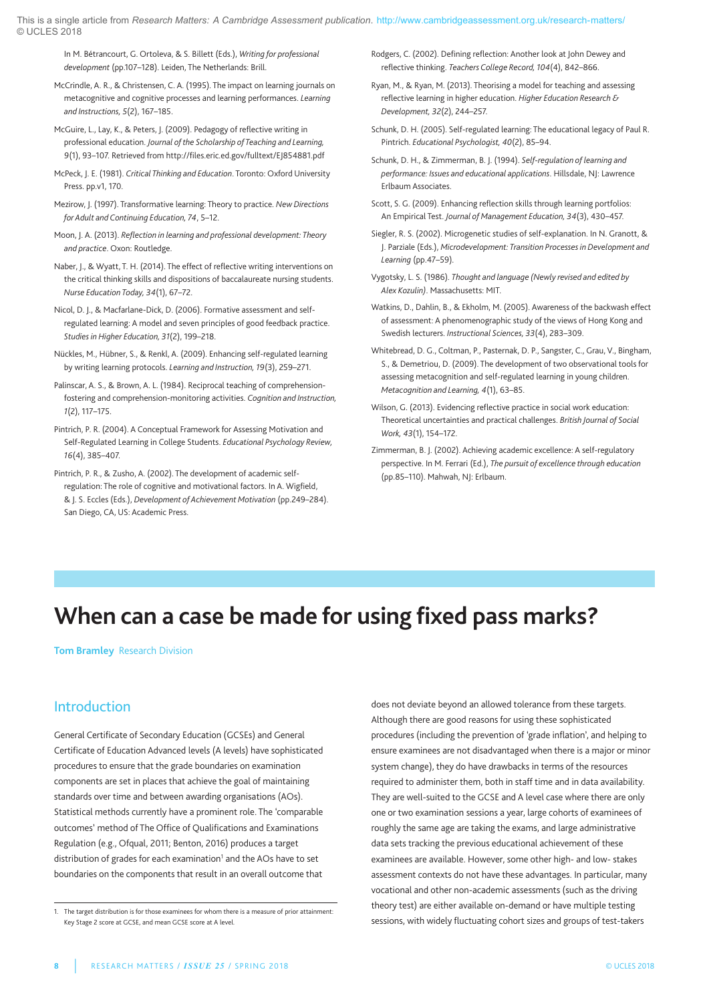In M. Bétrancourt, g. Ortoleva, & S. Billett (Eds.), *Writing for professional development* (pp.107–128). leiden, The netherlands: Brill.

McCrindle, A. R., & Christensen, C. A. (1995). The impact on learning journals on metacognitive and cognitive processes and learning performances. *Learning and Instructions, 5*(2), 167–185.

- McGuire, L., Lay, K., & Peters, J. (2009). Pedagogy of reflective writing in professional education. *Journal of the Scholarship of Teaching and Learning, 9*(1), 93–107. Retrieved from http://files.eric.ed.gov/fulltext/EJ854881.pdf
- Mcpeck, J. E. (1981). *Critical Thinking and Education*. Toronto: Oxford university press. pp.v1, 170.
- Mezirow, J. (1997). Transformative learning: Theory to practice. *New Directions for Adult and Continuing Education, 74*, 5–12.
- Moon, J. a. (2013). *Reflection in learning and professional development: Theory and practice*. Oxon: Routledge.
- naber, J., & Wyatt, T. H. (2014). The effect of reflective writing interventions on the critical thinking skills and dispositions of baccalaureate nursing students. *Nurse Education Today, 34*(1), 67–72.
- nicol, D. J., & Macfarlane-Dick, D. (2006). Formative assessment and selfregulated learning: A model and seven principles of good feedback practice. *Studies in Higher Education, 31*(2), 199–218.
- nückles, M., Hübner, S., & Renkl, a. (2009). Enhancing self-regulated learning by writing learning protocols. *Learning and Instruction, 19*(3), 259–271.
- Palinscar, A. S., & Brown, A. L. (1984). Reciprocal teaching of comprehensionfostering and comprehension-monitoring activities. *Cognition and Instruction, 1*(2), 117–175.
- Pintrich, P. R. (2004). A Conceptual Framework for Assessing Motivation and Self-Regulated learning in College Students. *Educational Psychology Review, 16*(4), 385–407.
- Pintrich, P. R., & Zusho, A. (2002). The development of academic selfregulation: The role of cognitive and motivational factors. In A. Wigfield, & J. S. Eccles (Eds.), *Development of Achievement Motivation* (pp.249–284). San Diego, CA, US: Academic Press.
- Rodgers, C. (2002). Defining reflection: another look at John Dewey and reflective thinking. *Teachers College Record, 104*(4), 842–866.
- Ryan, M., & Ryan, M. (2013). Theorising a model for teaching and assessing reflective learning in higher education. *Higher Education Research & Development, 32*(2), 244–257.
- Schunk, D. H. (2005). Self-regulated learning: The educational legacy of paul R. pintrich. *Educational Psychologist, 40*(2), 85–94.
- Schunk, D. H., & Zimmerman, B. J. (1994). *Self-regulation of learning and performance: Issues and educational applications*. Hillsdale, nJ: lawrence Erlbaum Associates.
- Scott, S. G. (2009). Enhancing reflection skills through learning portfolios: an Empirical Test. *Journal of Management Education, 34*(3), 430–457.
- Siegler, R. S. (2002). Microgenetic studies of self-explanation. In N. Granott, & J. parziale (Eds.), *Microdevelopment: Transition Processes in Development and Learning* (pp.47–59).
- Vygotsky, l. S. (1986). *Thought and language (Newly revised and edited by Alex Kozulin)*. Massachusetts: MIT.
- Watkins, D., Dahlin, B., & Ekholm, M. (2005). awareness of the backwash effect of assessment: A phenomenographic study of the views of Hong Kong and Swedish lecturers. *Instructional Sciences, 33*(4), 283–309.
- Whitebread, D. G., Coltman, P., Pasternak, D. P., Sangster, C., Grau, V., Bingham, S., & Demetriou, D. (2009). The development of two observational tools for assessing metacognition and self-regulated learning in young children. *Metacognition and Learning, 4*(1), 63–85.
- Wilson, G. (2013). Evidencing reflective practice in social work education: Theoretical uncertainties and practical challenges. *British Journal of Social Work, 43*(1), 154–172.
- Zimmerman, B. J. (2002). Achieving academic excellence: A self-regulatory perspective. In M. Ferrari (Ed.), *The pursuit of excellence through education* (pp.85–110). Mahwah, nJ: Erlbaum.

# **When can a case be made for using fixed pass marks?**

**Tom Bramley** Research Division

### Introduction

General Certificate of Secondary Education (GCSEs) and General Certificate of Education advanced levels (a levels) have sophisticated procedures to ensure that the grade boundaries on examination components are set in places that achieve the goal of maintaining standards over time and between awarding organisations (AOs). Statistical methods currently have a prominent role. The 'comparable outcomes' method of The Office of Qualifications and Examinations Regulation (e.g., Ofqual, 2011; Benton, 2016) produces a target distribution of grades for each examination<sup>1</sup> and the AOs have to set boundaries on the components that result in an overall outcome that does not deviate beyond an allowed tolerance from these targets. although there are good reasons for using these sophisticated procedures (including the prevention of 'grade inflation', and helping to ensure examinees are not disadvantaged when there is a major or minor system change), they do have drawbacks in terms of the resources required to administer them, both in staff time and in data availability. They are well-suited to the GCSE and A level case where there are only one or two examination sessions a year, large cohorts of examinees of roughly the same age are taking the exams, and large administrative data sets tracking the previous educational achievement of these examinees are available. However, some other high- and low- stakes assessment contexts do not have these advantages. In particular, many vocational and other non-academic assessments (such as the driving theory test) are either available on-demand or have multiple testing sessions, with widely fluctuating cohort sizes and groups of test-takers

<sup>1.</sup> The target distribution is for those examinees for whom there is a measure of prior attainment: Key Stage 2 score at GCSE, and mean GCSE score at A level.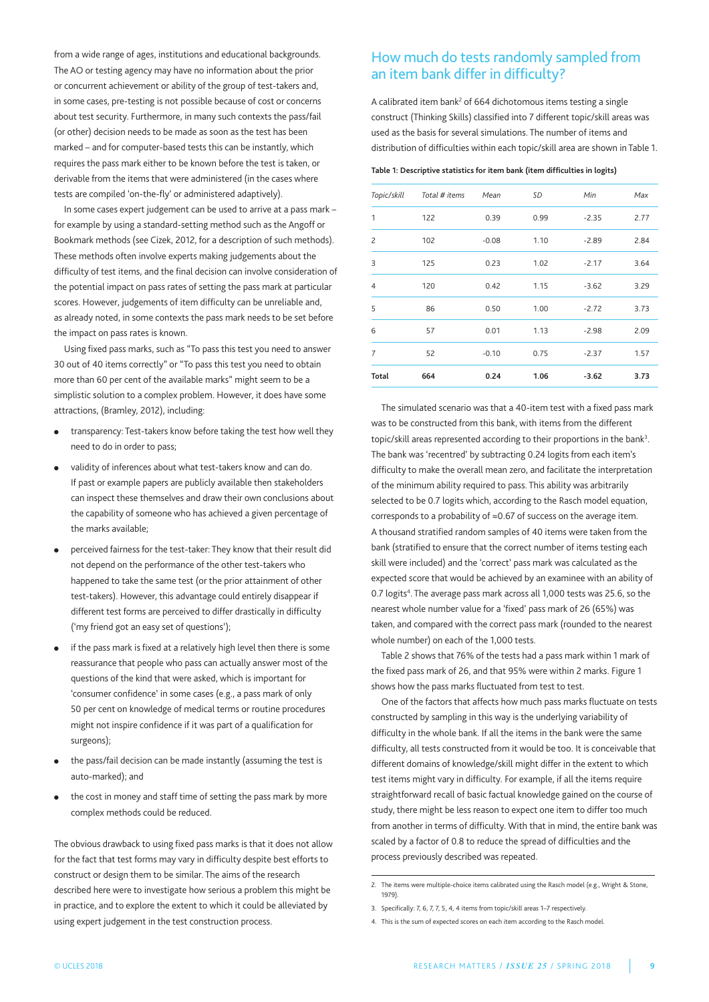from a wide range of ages, institutions and educational backgrounds. The AO or testing agency may have no information about the prior or concurrent achievement or ability of the group of test-takers and, in some cases, pre-testing is not possible because of cost or concerns about test security. Furthermore, in many such contexts the pass/fail (or other) decision needs to be made as soon as the test has been marked – and for computer-based tests this can be instantly, which requires the pass mark either to be known before the test is taken, or derivable from the items that were administered (in the cases where tests are compiled 'on-the-fly' or administered adaptively).

In some cases expert judgement can be used to arrive at a pass mark – for example by using a standard-setting method such as the Angoff or Bookmark methods (see Cizek, 2012, for a description of such methods). These methods often involve experts making judgements about the difficulty of test items, and the final decision can involve consideration of the potential impact on pass rates of setting the pass mark at particular scores. However, judgements of item difficulty can be unreliable and, as already noted, in some contexts the pass mark needs to be set before the impact on pass rates is known.

Using fixed pass marks, such as "To pass this test you need to answer 30 out of 40 items correctly" or "To pass this test you need to obtain more than 60 per cent of the available marks" might seem to be a simplistic solution to a complex problem. However, it does have some attractions, (Bramley, 2012), including:

- **●** transparency: Test-takers know before taking the test how well they need to do in order to pass;
- validity of inferences about what test-takers know and can do. If past or example papers are publicly available then stakeholders can inspect these themselves and draw their own conclusions about the capability of someone who has achieved a given percentage of the marks available;
- perceived fairness for the test-taker: They know that their result did not depend on the performance of the other test-takers who happened to take the same test (or the prior attainment of other test-takers). However, this advantage could entirely disappear if different test forms are perceived to differ drastically in difficulty ('my friend got an easy set of questions');
- if the pass mark is fixed at a relatively high level then there is some reassurance that people who pass can actually answer most of the questions of the kind that were asked, which is important for 'consumer confidence' in some cases (e.g., a pass mark of only 50 per cent on knowledge of medical terms or routine procedures might not inspire confidence if it was part of a qualification for surgeons);
- **●** the pass/fail decision can be made instantly (assuming the test is auto-marked); and
- the cost in money and staff time of setting the pass mark by more complex methods could be reduced.

The obvious drawback to using fixed pass marks is that it does not allow for the fact that test forms may vary in difficulty despite best efforts to construct or design them to be similar. The aims of the research described here were to investigate how serious a problem this might be in practice, and to explore the extent to which it could be alleviated by using expert judgement in the test construction process.

#### How much do tests randomly sampled from an item bank differ in difficulty?

A calibrated item bank<sup>2</sup> of 664 dichotomous items testing a single construct (Thinking Skills) classified into 7 different topic/skill areas was used as the basis for several simulations. The number of items and distribution of difficulties within each topic/skill area are shown in Table 1.

#### **Table 1: Descriptive statistics for item bank (item difficulties in logits)**

| Topic/skill    | Total # items | Mean    | SD   | Min     | Max  |
|----------------|---------------|---------|------|---------|------|
| $\mathbf{1}$   | 122           | 0.39    | 0.99 | $-2.35$ | 2.77 |
| $\overline{c}$ | 102           | $-0.08$ | 1.10 | $-2.89$ | 2.84 |
| 3              | 125           | 0.23    | 1.02 | $-2.17$ | 3.64 |
| $\overline{4}$ | 120           | 0.42    | 1.15 | $-3.62$ | 3.29 |
| 5              | 86            | 0.50    | 1.00 | $-2.72$ | 3.73 |
| 6              | 57            | 0.01    | 1.13 | $-2.98$ | 2.09 |
| $\overline{7}$ | 52            | $-0.10$ | 0.75 | $-2.37$ | 1.57 |
| Total          | 664           | 0.24    | 1.06 | $-3.62$ | 3.73 |

The simulated scenario was that a 40-item test with a fixed pass mark was to be constructed from this bank, with items from the different topic/skill areas represented according to their proportions in the bank<sup>3</sup>. The bank was 'recentred' by subtracting 0.24 logits from each item's difficulty to make the overall mean zero, and facilitate the interpretation of the minimum ability required to pass. This ability was arbitrarily selected to be 0.7 logits which, according to the Rasch model equation, corresponds to a probability of ≈0.67 of success on the average item. a thousand stratified random samples of 40 items were taken from the bank (stratified to ensure that the correct number of items testing each skill were included) and the 'correct' pass mark was calculated as the expected score that would be achieved by an examinee with an ability of 0.7 logits<sup>4</sup>. The average pass mark across all 1,000 tests was 25.6, so the nearest whole number value for a 'fixed' pass mark of 26 (65%) was taken, and compared with the correct pass mark (rounded to the nearest whole number) on each of the 1,000 tests.

Table 2 shows that 76% of the tests had a pass mark within 1 mark of the fixed pass mark of 26, and that 95% were within 2 marks. Figure 1 shows how the pass marks fluctuated from test to test.

One of the factors that affects how much pass marks fluctuate on tests constructed by sampling in this way is the underlying variability of difficulty in the whole bank. If all the items in the bank were the same difficulty, all tests constructed from it would be too. It is conceivable that different domains of knowledge/skill might differ in the extent to which test items might vary in difficulty. For example, if all the items require straightforward recall of basic factual knowledge gained on the course of study, there might be less reason to expect one item to differ too much from another in terms of difficulty. With that in mind, the entire bank was scaled by a factor of 0.8 to reduce the spread of difficulties and the process previously described was repeated.

<sup>2.</sup> The items were multiple-choice items calibrated using the Rasch model (e.g., Wright & Stone, 1979).

<sup>3.</sup> Specifically: 7, 6, 7, 7, 5, 4, 4 items from topic/skill areas 1–7 respectively.

<sup>4.</sup> This is the sum of expected scores on each item according to the Rasch model.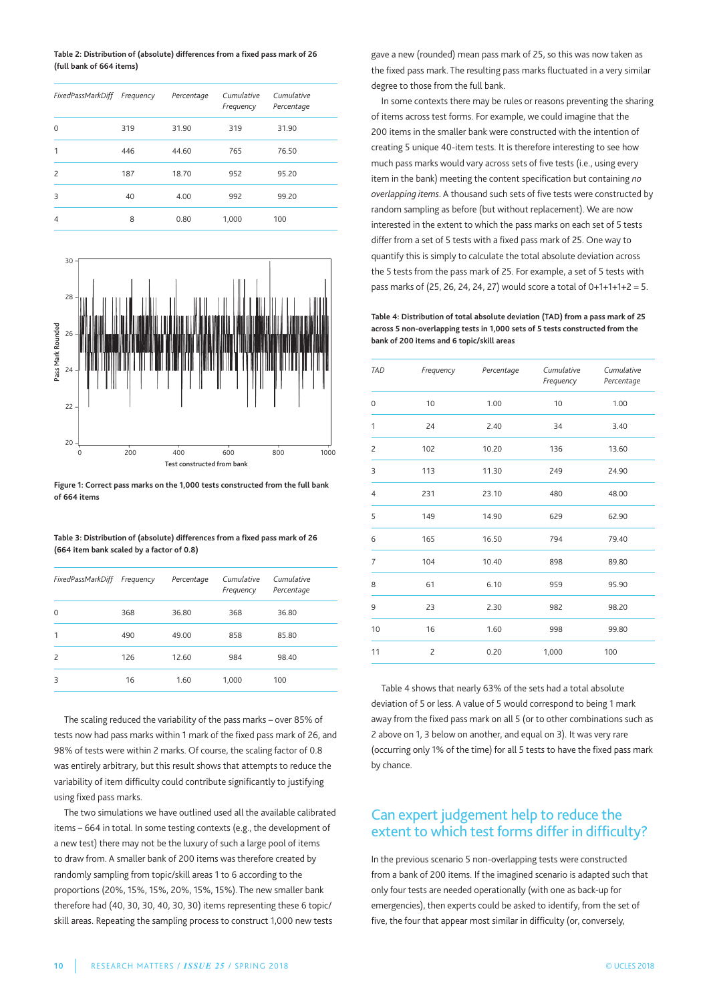**Table 2: Distribution of (absolute) differences from a fixed pass mark of 26 (full bank of 664 items)**

| FixedPassMarkDiff Frequency |     | Percentage | Cumulative<br>Frequency | Cumulative<br>Percentage |
|-----------------------------|-----|------------|-------------------------|--------------------------|
| $\Omega$                    | 319 | 31.90      | 319                     | 31.90                    |
| 1                           | 446 | 44.60      | 765                     | 76.50                    |
| $\overline{c}$              | 187 | 18.70      | 952                     | 95.20                    |
| 3                           | 40  | 4.00       | 992                     | 99.20                    |
| $\overline{4}$              | 8   | 0.80       | 1,000                   | 100                      |



**Figure 1: Correct pass marks on the 1,000 tests constructed from the full bank of 664 items**

**Table 3: Distribution of (absolute) differences from a fixed pass mark of 26 (664 item bank scaled by a factor of 0.8)**

| FixedPassMarkDiff Frequency |     | Percentage | Cumulative<br>Frequency | Cumulative<br>Percentage |
|-----------------------------|-----|------------|-------------------------|--------------------------|
| $\Omega$                    | 368 | 36.80      | 368                     | 36.80                    |
| 1                           | 490 | 49.00      | 858                     | 85.80                    |
| $\overline{c}$              | 126 | 12.60      | 984                     | 98.40                    |
| 3                           | 16  | 1.60       | 1,000                   | 100                      |

The scaling reduced the variability of the pass marks – over 85% of tests now had pass marks within 1 mark of the fixed pass mark of 26, and 98% of tests were within 2 marks. Of course, the scaling factor of 0.8 was entirely arbitrary, but this result shows that attempts to reduce the variability of item difficulty could contribute significantly to justifying using fixed pass marks.

The two simulations we have outlined used all the available calibrated items – 664 in total. In some testing contexts (e.g., the development of a new test) there may not be the luxury of such a large pool of items to draw from. A smaller bank of 200 items was therefore created by randomly sampling from topic/skill areas 1 to 6 according to the proportions (20%, 15%, 15%, 20%, 15%, 15%). The new smaller bank therefore had (40, 30, 30, 40, 30, 30) items representing these 6 topic/ skill areas. Repeating the sampling process to construct 1,000 new tests

gave a new (rounded) mean pass mark of 25, so this was now taken as the fixed pass mark. The resulting pass marks fluctuated in a very similar degree to those from the full bank.

In some contexts there may be rules or reasons preventing the sharing of items across test forms. For example, we could imagine that the 200 items in the smaller bank were constructed with the intention of creating 5 unique 40-item tests. It is therefore interesting to see how much pass marks would vary across sets of five tests (i.e., using every item in the bank) meeting the content specification but containing *no overlapping items*. a thousand such sets of five tests were constructed by random sampling as before (but without replacement). We are now interested in the extent to which the pass marks on each set of 5 tests differ from a set of 5 tests with a fixed pass mark of 25. One way to quantify this is simply to calculate the total absolute deviation across the 5 tests from the pass mark of 25. For example, a set of 5 tests with pass marks of (25, 26, 24, 24, 27) would score a total of 0+1+1+1+2 = 5.

**Table 4: Distribution of total absolute deviation (TAD) from a pass mark of 25 across 5 non-overlapping tests in 1,000 sets of 5 tests constructed from the bank of 200 items and 6 topic/skill areas**

| <b>TAD</b>          | Frequency      | Percentage | Cumulative<br>Frequency | Cumulative<br>Percentage |
|---------------------|----------------|------------|-------------------------|--------------------------|
| $\mathsf{O}\xspace$ | 10             | 1.00       | 10                      | 1.00                     |
| 1                   | 24             | 2.40       | 34                      | 3.40                     |
| $\overline{c}$      | 102            | 10.20      | 136                     | 13.60                    |
| 3                   | 113            | 11.30      | 249                     | 24.90                    |
| $\overline{4}$      | 231            | 23.10      | 480                     | 48.00                    |
| 5                   | 149            | 14.90      | 629                     | 62.90                    |
| 6                   | 165            | 16.50      | 794                     | 79.40                    |
| $\overline{7}$      | 104            | 10.40      | 898                     | 89.80                    |
| 8                   | 61             | 6.10       | 959                     | 95.90                    |
| 9                   | 23             | 2.30       | 982                     | 98.20                    |
| 10                  | 16             | 1.60       | 998                     | 99.80                    |
| 11                  | $\overline{c}$ | 0.20       | 1,000                   | 100                      |

Table 4 shows that nearly 63% of the sets had a total absolute deviation of 5 or less. A value of 5 would correspond to being 1 mark away from the fixed pass mark on all 5 (or to other combinations such as 2 above on 1, 3 below on another, and equal on 3). It was very rare (occurring only 1% of the time) for all 5 tests to have the fixed pass mark by chance.

#### Can expert judgement help to reduce the extent to which test forms differ in difficulty?

In the previous scenario 5 non-overlapping tests were constructed from a bank of 200 items. If the imagined scenario is adapted such that only four tests are needed operationally (with one as back-up for emergencies), then experts could be asked to identify, from the set of five, the four that appear most similar in difficulty (or, conversely,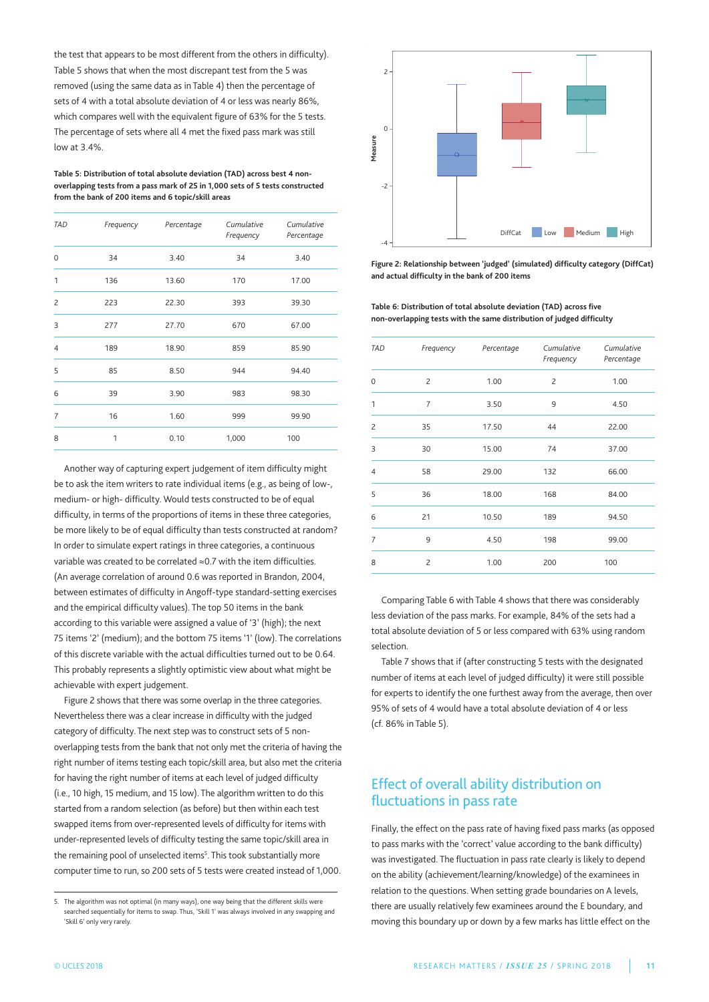the test that appears to be most different from the others in difficulty). Table 5 shows that when the most discrepant test from the 5 was removed (using the same data as in Table 4) then the percentage of sets of 4 with a total absolute deviation of 4 or less was nearly 86%, which compares well with the equivalent figure of 63% for the 5 tests. The percentage of sets where all 4 met the fixed pass mark was still low at 3.4%.

**Table 5: Distribution of total absolute deviation (TAD) across best 4 nonoverlapping tests from a pass mark of 25 in 1,000 sets of 5 tests constructed from the bank of 200 items and 6 topic/skill areas**

| <b>TAD</b>     | Frequency | Percentage | Cumulative<br>Frequency | Cumulative<br>Percentage |
|----------------|-----------|------------|-------------------------|--------------------------|
| $\mathbf 0$    | 34        | 3.40       | 34                      | 3.40                     |
| 1              | 136       | 13.60      | 170                     | 17.00                    |
| $\overline{c}$ | 223       | 22.30      | 393                     | 39.30                    |
| 3              | 277       | 27.70      | 670                     | 67.00                    |
| $\overline{4}$ | 189       | 18.90      | 859                     | 85.90                    |
| 5              | 85        | 8.50       | 944                     | 94.40                    |
| 6              | 39        | 3.90       | 983                     | 98.30                    |
| $\overline{7}$ | 16        | 1.60       | 999                     | 99.90                    |
| 8              | 1         | 0.10       | 1,000                   | 100                      |

another way of capturing expert judgement of item difficulty might be to ask the item writers to rate individual items (e.g., as being of low-, medium- or high- difficulty. Would tests constructed to be of equal difficulty, in terms of the proportions of items in these three categories, be more likely to be of equal difficulty than tests constructed at random? In order to simulate expert ratings in three categories, a continuous variable was created to be correlated ≈0.7 with the item difficulties. (An average correlation of around 0.6 was reported in Brandon, 2004, between estimates of difficulty in Angoff-type standard-setting exercises and the empirical difficulty values). The top 50 items in the bank according to this variable were assigned a value of '3' (high); the next 75 items '2' (medium); and the bottom 75 items '1' (low). The correlations of this discrete variable with the actual difficulties turned out to be 0.64. This probably represents a slightly optimistic view about what might be achievable with expert judgement.

Figure 2 shows that there was some overlap in the three categories. Nevertheless there was a clear increase in difficulty with the judged category of difficulty. The next step was to construct sets of 5 nonoverlapping tests from the bank that not only met the criteria of having the right number of items testing each topic/skill area, but also met the criteria for having the right number of items at each level of judged difficulty (i.e., 10 high, 15 medium, and 15 low). The algorithm written to do this started from a random selection (as before) but then within each test swapped items from over-represented levels of difficulty for items with under-represented levels of difficulty testing the same topic/skill area in the remaining pool of unselected items<sup>5</sup>. This took substantially more computer time to run, so 200 sets of 5 tests were created instead of 1,000.



**Figure 2: Relationship between 'judged' (simulated) difficulty category (DiffCat) and actual difficulty in the bank of 200 items**

**Table 6: Distribution of total absolute deviation (TAD) across five non-overlapping tests with the same distribution of judged difficulty**

| <b>TAD</b>     | Frequency      | Percentage | Cumulative<br>Frequency | Cumulative<br>Percentage |
|----------------|----------------|------------|-------------------------|--------------------------|
| $\Omega$       | $\overline{c}$ | 1.00       | $\overline{c}$          | 1.00                     |
| 1              | $\overline{7}$ | 3.50       | 9                       | 4.50                     |
| $\overline{c}$ | 35             | 17.50      | 44                      | 22.00                    |
| 3              | 30             | 15.00      | 74                      | 37.00                    |
| $\overline{4}$ | 58             | 29.00      | 132                     | 66.00                    |
| 5              | 36             | 18.00      | 168                     | 84.00                    |
| 6              | 21             | 10.50      | 189                     | 94.50                    |
| $\overline{7}$ | 9              | 4.50       | 198                     | 99.00                    |
| 8              | $\overline{c}$ | 1.00       | 200                     | 100                      |
|                |                |            |                         |                          |

Comparing Table 6 with Table 4 shows that there was considerably less deviation of the pass marks. For example, 84% of the sets had a total absolute deviation of 5 or less compared with 63% using random selection.

Table 7 shows that if (after constructing 5 tests with the designated number of items at each level of judged difficulty) it were still possible for experts to identify the one furthest away from the average, then over 95% of sets of 4 would have a total absolute deviation of 4 or less (cf. 86% in Table 5).

## Effect of overall ability distribution on fluctuations in pass rate

Finally, the effect on the pass rate of having fixed pass marks (as opposed to pass marks with the 'correct' value according to the bank difficulty) was investigated. The fluctuation in pass rate clearly is likely to depend on the ability (achievement/learning/knowledge) of the examinees in relation to the questions. When setting grade boundaries on A levels, there are usually relatively few examinees around the E boundary, and moving this boundary up or down by a few marks has little effect on the

<sup>5.</sup> The algorithm was not optimal (in many ways), one way being that the different skills were searched sequentially for items to swap. Thus, 'Skill 1' was always involved in any swapping and 'Skill 6' only very rarely.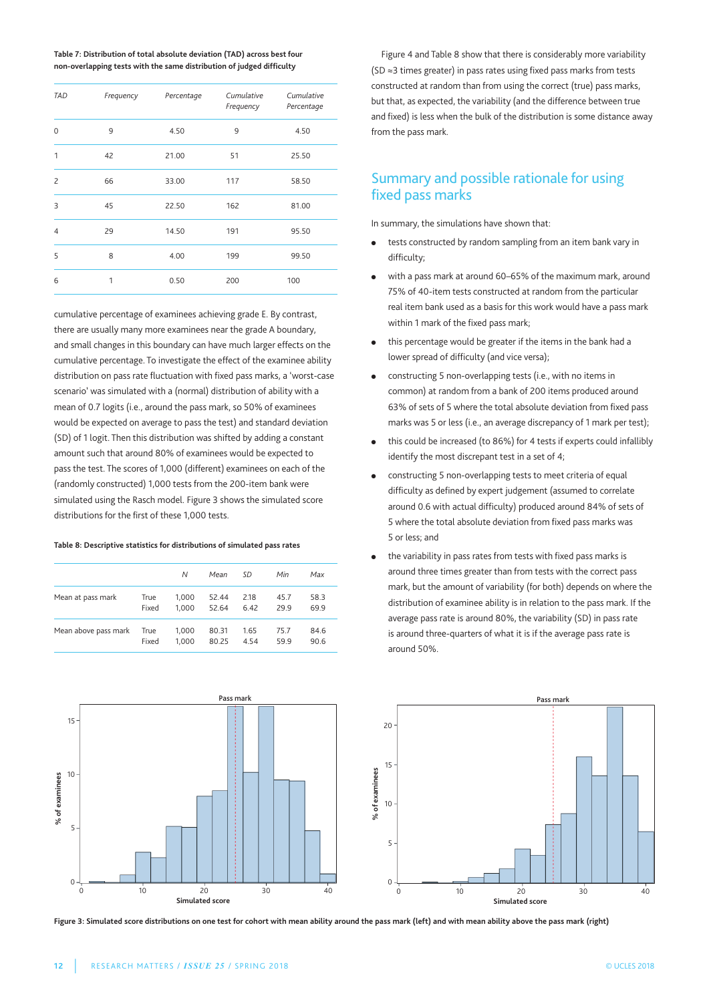**Table 7: Distribution of total absolute deviation (TAD) across best four non-overlapping tests with the same distribution of judged difficulty**

| <b>TAD</b>     | Frequency | Percentage | Cumulative<br>Frequency | Cumulative<br>Percentage |
|----------------|-----------|------------|-------------------------|--------------------------|
| $\Omega$       | 9         | 4.50       | 9                       | 4.50                     |
| 1              | 42        | 21.00      | 51                      | 25.50                    |
| $\overline{c}$ | 66        | 33.00      | 117                     | 58.50                    |
| 3              | 45        | 22.50      | 162                     | 81.00                    |
| $\overline{4}$ | 29        | 14.50      | 191                     | 95.50                    |
| 5              | 8         | 4.00       | 199                     | 99.50                    |
| 6              | 1         | 0.50       | 200                     | 100                      |

cumulative percentage of examinees achieving grade E. By contrast, there are usually many more examinees near the grade A boundary, and small changes in this boundary can have much larger effects on the cumulative percentage. To investigate the effect of the examinee ability distribution on pass rate fluctuation with fixed pass marks, a 'worst-case scenario' was simulated with a (normal) distribution of ability with a mean of 0.7 logits (i.e., around the pass mark, so 50% of examinees would be expected on average to pass the test) and standard deviation (SD) of 1 logit. Then this distribution was shifted by adding a constant amount such that around 80% of examinees would be expected to pass the test. The scores of 1,000 (different) examinees on each of the (randomly constructed) 1,000 tests from the 200-item bank were simulated using the Rasch model. Figure 3 shows the simulated score distributions for the first of these 1,000 tests.

#### **Table 8: Descriptive statistics for distributions of simulated pass rates**

|                      |       | N     | Mean  | SD   | Min  | Max  |
|----------------------|-------|-------|-------|------|------|------|
| Mean at pass mark    | True  | 1,000 | 52.44 | 2.18 | 45.7 | 58.3 |
|                      | Fixed | 1.000 | 52.64 | 6.42 | 29.9 | 69.9 |
| Mean above pass mark | True  | 1,000 | 80.31 | 1.65 | 75.7 | 84.6 |
|                      | Fixed | 1.000 | 80.25 | 4.54 | 59.9 | 90.6 |

Figure 4 and Table 8 show that there is considerably more variability (SD ≈3 times greater) in pass rates using fixed pass marks from tests constructed at random than from using the correct (true) pass marks, but that, as expected, the variability (and the difference between true and fixed) is less when the bulk of the distribution is some distance away from the pass mark.

#### Summary and possible rationale for using fixed pass marks

In summary, the simulations have shown that:

- tests constructed by random sampling from an item bank vary in difficulty;
- with a pass mark at around 60–65% of the maximum mark, around 75% of 40-item tests constructed at random from the particular real item bank used as a basis for this work would have a pass mark within 1 mark of the fixed pass mark;
- **●** this percentage would be greater if the items in the bank had a lower spread of difficulty (and vice versa);
- **●** constructing 5 non-overlapping tests (i.e., with no items in common) at random from a bank of 200 items produced around 63% of sets of 5 where the total absolute deviation from fixed pass marks was 5 or less (i.e., an average discrepancy of 1 mark per test);
- **●** this could be increased (to 86%) for 4 tests if experts could infallibly identify the most discrepant test in a set of 4;
- **●** constructing 5 non-overlapping tests to meet criteria of equal difficulty as defined by expert judgement (assumed to correlate around 0.6 with actual difficulty) produced around 84% of sets of 5 where the total absolute deviation from fixed pass marks was 5 or less; and
- **●** the variability in pass rates from tests with fixed pass marks is around three times greater than from tests with the correct pass mark, but the amount of variability (for both) depends on where the distribution of examinee ability is in relation to the pass mark. If the average pass rate is around 80%, the variability (SD) in pass rate is around three-quarters of what it is if the average pass rate is around 50%.



Figure 3: Simulated score distributions on one test for cohort with mean ability around the pass mark (left) and with mean ability above the pass mark (right)